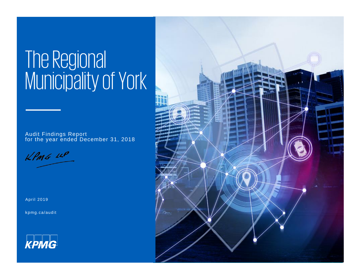# The Regional Municipality of York

Audit Findings Report for the year ended December 31, 2018

 $KPMC$  14P

April 2019

[kpmg.ca/audit](https://home.kpmg.com/ca/en/home/services/audit.html)



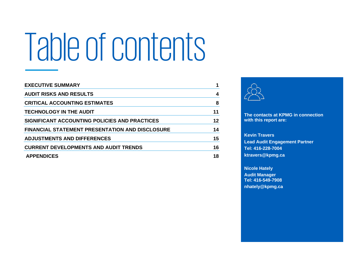# Table of contents

| <b>EXECUTIVE SUMMARY</b>                               |    |
|--------------------------------------------------------|----|
| <b>AUDIT RISKS AND RESULTS</b>                         | 4  |
| <b>CRITICAL ACCOUNTING ESTIMATES</b>                   | 8  |
| <b>TECHNOLOGY IN THE AUDIT</b>                         | 11 |
| SIGNIFICANT ACCOUNTING POLICIES AND PRACTICES          | 12 |
| <b>FINANCIAL STATEMENT PRESENTATION AND DISCLOSURE</b> | 14 |
| <b>ADJUSTMENTS AND DIFFERENCES</b>                     | 15 |
| <b>CURRENT DEVELOPMENTS AND AUDIT TRENDS</b>           | 16 |
| <b>APPENDICES</b>                                      | 18 |



**The contacts at KPMG in connection with this report are:** 

**Kevin Travers Lead Audit Engagement Partner Tel: 416-228-7004 ktravers@kpmg.ca**

**Nicole Hately Audit Manager Tel: 416-549-7908 nhately@kpmg.ca**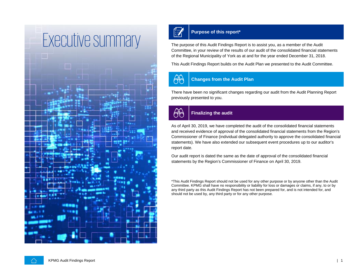<span id="page-2-0"></span>



The purpose of this Audit Findings Report is to assist you, as a member of the Audit Committee, in your review of the results of our audit of the consolidated financial statements of the Regional Municipality of York as at and for the year ended December 31, 2018.

This Audit Findings Report builds on the Audit Plan we presented to the Audit Committee.



### **Changes from the Audit Plan**

There have been no significant changes regarding our audit from the Audit Planning Report previously presented to you.



#### **Finalizing the audit**

As of April 30, 2019, we have completed the audit of the consolidated financial statements and received evidence of approval of the consolidated financial statements from the Region's Commissioner of Finance (individual delegated authority to approve the consolidated financial statements). We have also extended our subsequent event procedures up to our auditor's report date.

Our audit report is dated the same as the date of approval of the consolidated financial statements by the Region's Commissioner of Finance on April 30, 2019.

\*This Audit Findings Report should not be used for any other purpose or by anyone other than the Audit Committee. KPMG shall have no responsibility or liability for loss or damages or claims, if any, to or by any third party as this Audit Findings Report has not been prepared for, and is not intended for, and should not be used by, any third party or for any other purpose.

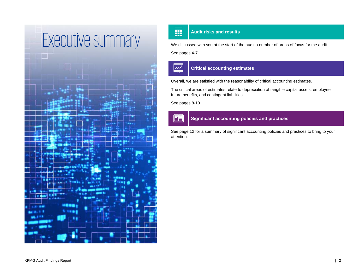

We discussed with you at the start of the audit a number of areas of focus for the audit.

See pages 4-7

 $\boxed{\overset{\sim}{\sim}}$ 

圍

### **Critical accounting estimates**

Overall, we are satisfied with the reasonability of critical accounting estimates.

The critical areas of estimates relate to depreciation of tangible capital assets, employee future benefits, and contingent liabilities.

See pages 8-10

#### **Significant accounting policies and practices**

See page 12 for a summary of significant accounting policies and practices to bring to your attention.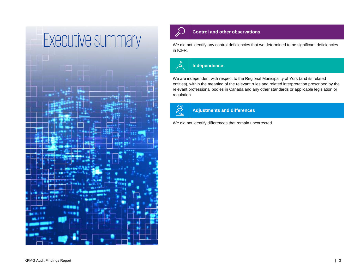



We did not identify any control deficiencies that we determined to be significant deficiencies in ICFR.



#### **Independence**

We are independent with respect to the Regional Municipality of York (and its related entities), within the meaning of the relevant rules and related interpretation prescribed by the relevant professional bodies in Canada and any other standards or applicable legislation or regulation.



**Adjustments and differences**

We did not identify differences that remain uncorrected.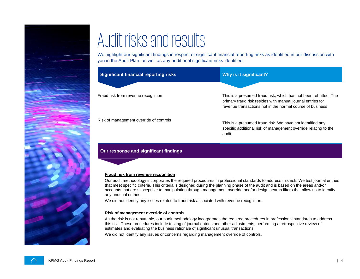

<span id="page-5-0"></span>We highlight our significant findings in respect of significant financial reporting risks as identified in our discussion with you in the Audit Plan, as well as any additional significant risks identified.

| <b>Significant financial reporting risks</b> | Why is it significant?                                                                                                                                                                     |
|----------------------------------------------|--------------------------------------------------------------------------------------------------------------------------------------------------------------------------------------------|
|                                              |                                                                                                                                                                                            |
| Fraud risk from revenue recognition          | This is a presumed fraud risk, which has not been rebutted. The<br>primary fraud risk resides with manual journal entries for<br>revenue transactions not in the normal course of business |
| Risk of management override of controls      | This is a presumed fraud risk. We have not identified any<br>specific additional risk of management override relating to the<br>audit.                                                     |

#### **Our response and significant findings**

#### **Fraud risk from revenue recognition**

Our audit methodology incorporates the required procedures in professional standards to address this risk. We test journal entries that meet specific criteria. This criteria is designed during the planning phase of the audit and is based on the areas and/or accounts that are susceptible to manipulation through management override and/or design search filters that allow us to identify any unusual entries.

We did not identify any issues related to fraud risk associated with revenue recognition.

#### **Risk of management override of controls**

As the risk is not rebuttable, our audit methodology incorporates the required procedures in professional standards to address this risk. These procedures include testing of journal entries and other adjustments, performing a retrospective review of estimates and evaluating the business rationale of significant unusual transactions.

We did not identify any issues or concerns regarding management override of controls.

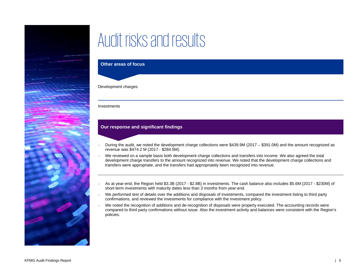

#### **Other areas of focus**

#### Development charges

#### Investments

#### **Our response and significant findings**

- − During the audit, we noted the development charge collections were \$439.9M (2017 \$391.0M) and the amount recognized as revenue was \$474.2 M (2017 - \$284.5M).
- − We reviewed on a sample basis both development charge collections and transfers into income. We also agreed the total development charge transfers to the amount recognized into revenue. We noted that the development charge collections and transfers were appropriate, and the transfers had appropriately been recognized into revenue.
- − As at year-end, the Region held \$3.3B (2017 \$2.8B) in investments. The cash balance also includes \$5.6M (2017 \$230M) of short-term investments with maturity dates less than 3 months from year-end.
- − We performed test of details over the additions and disposals of investments, compared the investment listing to third party confirmations, and reviewed the investments for compliance with the investment policy.
- − We noted the recognition of additions and de-recognition of disposals were properly executed. The accounting records were compared to third party confirmations without issue. Also the investment activity and balances were consistent with the Region's policies.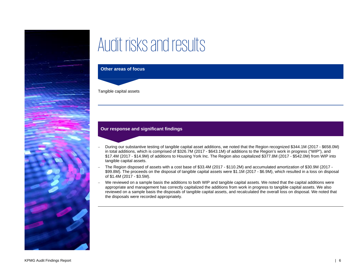

#### **Other areas of focus**

Tangible capital assets

#### **Our response and significant findings**

- − During our substantive testing of tangible capital asset additions, we noted that the Region recognized \$344.1M (2017 \$658.0M) in total additions, which is comprised of \$326.7M (2017 - \$643.1M) of additions to the Region's work in progress ("WIP"), and \$17.4M (2017 - \$14.9M) of additions to Housing York Inc. The Region also capitalized \$377.8M (2017 - \$542.0M) from WIP into tangible capital assets.
- − The Region disposed of assets with a cost base of \$33.4M (2017 \$110.2M) and accumulated amortization of \$30.9M (2017 \$99.8M). The proceeds on the disposal of tangible capital assets were \$1.1M (2017 - \$6.9M), which resulted in a loss on disposal of \$1.4M (2017 - \$3.5M).
- − We reviewed on a sample basis the additions to both WIP and tangible capital assets. We noted that the capital additions were appropriate and management has correctly capitalized the additions from work in progress to tangible capital assets. We also reviewed on a sample basis the disposals of tangible capital assets, and recalculated the overall loss on disposal. We noted that the disposals were recorded appropriately.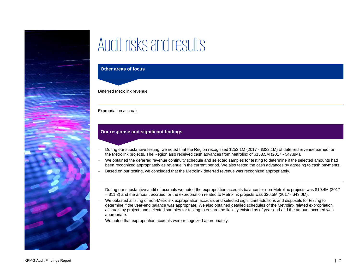

#### **Other areas of focus**

Deferred Metrolinx revenue

#### Expropriation accruals

#### **Our response and significant findings**

- − During our substantive testing, we noted that the Region recognized \$252.1M (2017 \$322.1M) of deferred revenue earned for the Metrolinx projects. The Region also received cash advances from Metrolinx of \$158.5M (2017 - \$47.8M).
- − We obtained the deferred revenue continuity schedule and selected samples for testing to determine if the selected amounts had been recognized appropriately as revenue in the current period. We also tested the cash advances by agreeing to cash payments.
- Based on our testing, we concluded that the Metrolinx deferred revenue was recognized appropriately.
- − During our substantive audit of accruals we noted the expropriation accruals balance for non-Metrolinx projects was \$10.4M (2017 – \$11.3) and the amount accrued for the expropriation related to Metrolinx projects was \$26.5M (2017 - \$43.0M).
- − We obtained a listing of non-Metrolinx expropriation accruals and selected significant additions and disposals for testing to determine if the year-end balance was appropriate. We also obtained detailed schedules of the Metrolinx related expropriation accruals by project, and selected samples for testing to ensure the liability existed as of year-end and the amount accrued was appropriate.
- − We noted that expropriation accruals were recognized appropriately.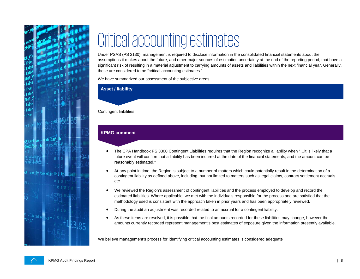

# <span id="page-9-0"></span>Critical accounting estimates

Under PSAS (PS 2130), management is required to disclose information in the consolidated financial statements about the assumptions it makes about the future, and other major sources of estimation uncertainty at the end of the reporting period, that have a significant risk of resulting in a material adjustment to carrying amounts of assets and liabilities within the next financial year. Generally, these are considered to be "critical accounting estimates."

We have summarized our assessment of the subjective areas.

#### **Asset / liability**

#### Contingent liabilities

#### **KPMG comment**

- The CPA Handbook PS 3300 Contingent Liabilities requires that the Region recognize a liability when "…it is likely that a future event will confirm that a liability has been incurred at the date of the financial statements; and the amount can be reasonably estimated."
- At any point in time, the Region is subject to a number of matters which could potentially result in the determination of a contingent liability as defined above, including, but not limited to matters such as legal claims, contract settlement accruals etc.
- We reviewed the Region's assessment of contingent liabilities and the process employed to develop and record the estimated liabilities. Where applicable, we met with the individuals responsible for the process and are satisfied that the methodology used is consistent with the approach taken in prior years and has been appropriately reviewed.
- During the audit an adjustment was recorded related to an accrual for a contingent liability.
- As these items are resolved, it is possible that the final amounts recorded for these liabilities may change, however the amounts currently recorded represent management's best estimates of exposure given the information presently available.

We believe management's process for identifying critical accounting estimates is considered adequate

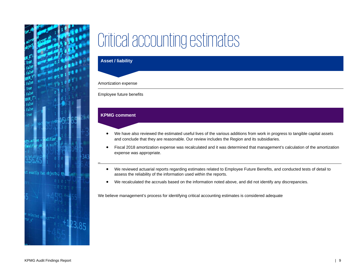

### Critical accounting estimates

#### **Asset / liability**

#### Amortization expense

Employee future benefits

#### **KPMG comment**

\_

- We have also reviewed the estimated useful lives of the various additions from work in progress to tangible capital assets and conclude that they are reasonable. Our review includes the Region and its subsidiaries.
- Fiscal 2018 amortization expense was recalculated and it was determined that management's calculation of the amortization expense was appropriate.
- We reviewed actuarial reports regarding estimates related to Employee Future Benefits, and conducted tests of detail to assess the reliability of the information used within the reports.
- We recalculated the accruals based on the information noted above, and did not identify any discrepancies.

We believe management's process for identifying critical accounting estimates is considered adequate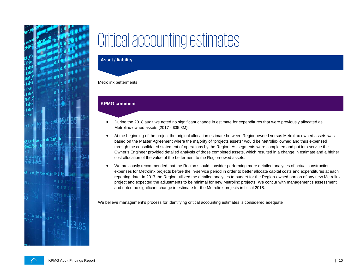

## Critical accounting estimates

#### **Asset / liability**

#### Metrolinx betterments

#### **KPMG comment**

- During the 2018 audit we noted no significant change in estimate for expenditures that were previously allocated as Metrolinx-owned assets (2017 - \$35.8M).
- At the beginning of the project the original allocation estimate between Region-owned versus Metrolinx-owned assets was based on the Master Agreement where the majority of "projects assets" would be Metrolinx owned and thus expensed through the consolidated statement of operations by the Region. As segments were completed and put into service the Owner's Engineer provided detailed analysis of those completed assets, which resulted in a change in estimate and a higher cost allocation of the value of the betterment to the Region-owed assets.
- We previously recommended that the Region should consider performing more detailed analyses of actual construction expenses for Metrolinx projects before the in-service period in order to better allocate capital costs and expenditures at each reporting date. In 2017 the Region utilized the detailed analyses to budget for the Region-owned portion of any new Metrolinx project and expected the adjustments to be minimal for new Metrolinx projects. We concur with management's assessment and noted no significant change in estimate for the Metrolinx projects in fiscal 2018.

We believe management's process for identifying critical accounting estimates is considered adequate

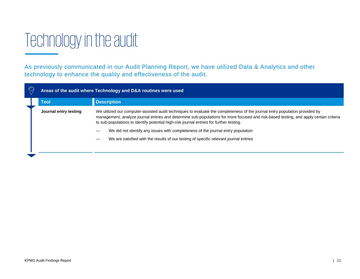## <span id="page-12-0"></span>Technology in the audit

As previously communicated in our Audit Planning Report, we have utilized Data & Analytics and other technology to enhance the quality and effectiveness of the audit.

| Areas of the audit where Technology and D&A routines were used |                                                                                                                                                                                                                                                                                                                                                                 |  |
|----------------------------------------------------------------|-----------------------------------------------------------------------------------------------------------------------------------------------------------------------------------------------------------------------------------------------------------------------------------------------------------------------------------------------------------------|--|
| Tool                                                           | <b>Description</b>                                                                                                                                                                                                                                                                                                                                              |  |
| Journal entry testing                                          | We utilized our computer-assisted audit techniques to evaluate the completeness of the journal entry population provided by<br>management, analyze journal entries and determine sub-populations for more focused and risk-based testing, and apply certain criteria<br>to sub-populations to identify potential high-risk journal entries for further testing. |  |
|                                                                | We did not identify any issues with completeness of the journal entry population                                                                                                                                                                                                                                                                                |  |
|                                                                | We are satisfied with the results of our testing of specific relevant journal entries                                                                                                                                                                                                                                                                           |  |
|                                                                |                                                                                                                                                                                                                                                                                                                                                                 |  |
|                                                                |                                                                                                                                                                                                                                                                                                                                                                 |  |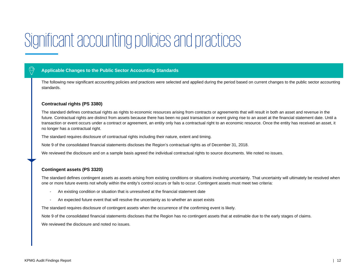### <span id="page-13-0"></span>Significant accounting policies and practices

#### **Applicable Changes to the Public Sector Accounting Standards**

The following new significant accounting policies and practices were selected and applied during the period based on current changes to the public sector accounting standards.

#### **Contractual rights (PS 3380)**

The standard defines contractual rights as rights to economic resources arising from contracts or agreements that will result in both an asset and revenue in the future. Contractual rights are distinct from assets because there has been no past transaction or event giving rise to an asset at the financial statement date. Until a transaction or event occurs under a contract or agreement, an entity only has a contractual right to an economic resource. Once the entity has received an asset, it no longer has a contractual right.

The standard requires disclosure of contractual rights including their nature, extent and timing.

Note 9 of the consolidated financial statements discloses the Region's contractual rights as of December 31, 2018.

We reviewed the disclosure and on a sample basis agreed the individual contractual rights to source documents. We noted no issues.

#### **Contingent assets (PS 3320)**

The standard defines contingent assets as assets arising from existing conditions or situations involving uncertainty. That uncertainty will ultimately be resolved when one or more future events not wholly within the entity's control occurs or fails to occur. Contingent assets must meet two criteria:

- An existing condition or situation that is unresolved at the financial statement date
- An expected future event that will resolve the uncertainty as to whether an asset exists

The standard requires disclosure of contingent assets when the occurrence of the confirming event is likely.

Note 9 of the consolidated financial statements discloses that the Region has no contingent assets that at estimable due to the early stages of claims.

We reviewed the disclosure and noted no issues.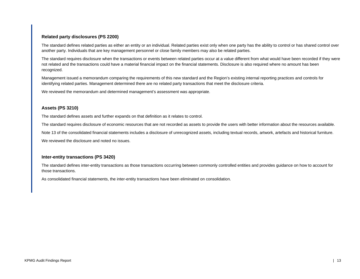#### **Related party disclosures (PS 2200)**

The standard defines related parties as either an entity or an individual. Related parties exist only when one party has the ability to control or has shared control over another party. Individuals that are key management personnel or close family members may also be related parties.

The standard requires disclosure when the transactions or events between related parties occur at a value different from what would have been recorded if they were not related and the transactions could have a material financial impact on the financial statements. Disclosure is also required where no amount has been recognized.

Management issued a memorandum comparing the requirements of this new standard and the Region's existing internal reporting practices and controls for identifying related parties. Management determined there are no related party transactions that meet the disclosure criteria.

We reviewed the memorandum and determined management's assessment was appropriate.

#### **Assets (PS 3210)**

The standard defines assets and further expands on that definition as it relates to control.

The standard requires disclosure of economic resources that are not recorded as assets to provide the users with better information about the resources available.

Note 13 of the consolidated financial statements includes a disclosure of unrecognized assets, including textual records, artwork, artefacts and historical furniture.

We reviewed the disclosure and noted no issues.

#### **Inter-entity transactions (PS 3420)**

The standard defines inter-entity transactions as those transactions occurring between commonly controlled entities and provides guidance on how to account for those transactions.

As consolidated financial statements, the inter-entity transactions have been eliminated on consolidation.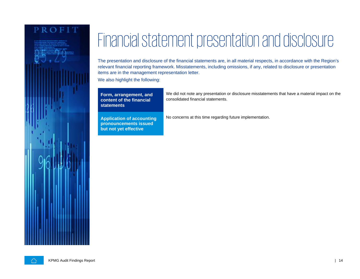### PROFIT

<span id="page-15-0"></span>Financial statement presentation and disclosure

The presentation and disclosure of the financial statements are, in all material respects, in accordance with the Region's relevant financial reporting framework. Misstatements, including omissions, if any, related to disclosure or presentation items are in the management representation letter.

We also highlight the following:

**Form, arrangement, and content of the financial statements**

**Application of accounting pronouncements issued but not yet effective**

We did not note any presentation or disclosure misstatements that have a material impact on the consolidated financial statements.

No concerns at this time regarding future implementation.

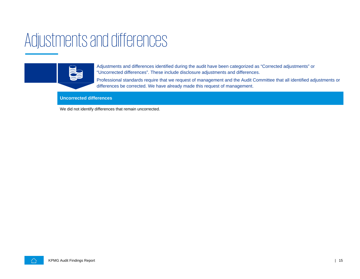### <span id="page-16-0"></span>Adjustments and differences



Adjustments and differences identified during the audit have been categorized as "Corrected adjustments" or "Uncorrected differences". These include disclosure adjustments and differences.

Professional standards require that we request of management and the Audit Committee that all identified adjustments or differences be corrected. We have already made this request of management.

#### **Uncorrected differences**

We did not identify differences that remain uncorrected.

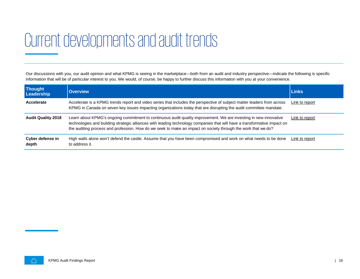### <span id="page-17-0"></span>Current developments and audit trends

Our discussions with you, our audit opinion and what KPMG is seeing in the marketplace—both from an audit and industry perspective—indicate the following is specific information that will be of particular interest to you. We would, of course, be happy to further discuss this information with you at your convenience.

| <b>Thought</b><br>Leadership | <b>Overview</b>                                                                                                                                                                                                                                                                                                                                                 | <b>Links</b>   |
|------------------------------|-----------------------------------------------------------------------------------------------------------------------------------------------------------------------------------------------------------------------------------------------------------------------------------------------------------------------------------------------------------------|----------------|
| Accelerate                   | Accelerate is a KPMG trends report and video series that includes the perspective of subject matter leaders from across<br>KPMG in Canada on seven key issues impacting organizations today that are disrupting the audit committee mandate.                                                                                                                    | Link to report |
| <b>Audit Quality 2018</b>    | Learn about KPMG's ongoing commitment to continuous audit quality improvement. We are investing in new innovative<br>technologies and building strategic alliances with leading technology companies that will have a transformative impact on<br>the auditing process and profession. How do we seek to make an impact on society through the work that we do? | Link to report |
| Cyber defense in<br>depth    | High walls alone won't defend the castle. Assume that you have been compromised and work on what needs to be done<br>to address it.                                                                                                                                                                                                                             | Link to report |

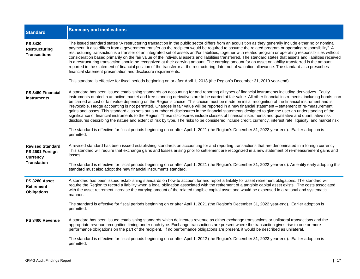| <b>Standard</b>                                                                     | <b>Summary and implications</b>                                                                                                                                                                                                                                                                                                                                                                                                                                                                                                                                                                                                                                                                                                                                                                                                                                                                                                                                                                                                                                                                                                                                                                                                                                                   |
|-------------------------------------------------------------------------------------|-----------------------------------------------------------------------------------------------------------------------------------------------------------------------------------------------------------------------------------------------------------------------------------------------------------------------------------------------------------------------------------------------------------------------------------------------------------------------------------------------------------------------------------------------------------------------------------------------------------------------------------------------------------------------------------------------------------------------------------------------------------------------------------------------------------------------------------------------------------------------------------------------------------------------------------------------------------------------------------------------------------------------------------------------------------------------------------------------------------------------------------------------------------------------------------------------------------------------------------------------------------------------------------|
| <b>PS 3430</b><br><b>Restructuring</b><br><b>Transactions</b>                       | The issued standard states "A restructuring transaction in the public sector differs from an acquisition as they generally include either no or nominal<br>payment. It also differs from a government transfer as the recipient would be required to assume the related program or operating responsibility". A<br>restructuring transaction is a transfer of an integrated set of assets and/or liabilities, together with related program or operating responsibilities without<br>consideration based primarily on the fair value of the individual assets and liabilities transferred. The standard states that assets and liabilities received<br>in a restructuring transaction should be recognized at their carrying amount. The carrying amount for an asset or liability transferred is the amount<br>reported in the statement of financial position of the transferor at the restructuring date, net of valuation allowance. The standard also prescribes<br>financial statement presentation and disclosure requirements.<br>This standard is effective for fiscal periods beginning on or after April 1, 2018 (the Region's December 31, 2019 year-end).                                                                                                            |
| PS 3450 Financial<br><b>Instruments</b>                                             | A standard has been issued establishing standards on accounting for and reporting all types of financial instruments including derivatives. Equity<br>instruments quoted in an active market and free-standing derivatives are to be carried at fair value. All other financial instruments, including bonds, can<br>be carried at cost or fair value depending on the Region's choice. This choice must be made on initial recognition of the financial instrument and is<br>irrevocable. Hedge accounting is not permitted. Changes in fair value will be reported in a new financial statement - statement of re-measurement<br>gains and losses. This standard also sets out a number of disclosures in the financial statements designed to give the user an understanding of the<br>significance of financial instruments to the Region. These disclosures include classes of financial instruments and qualitative and quantitative risk<br>disclosures describing the nature and extent of risk by type. The risks to be considered include credit, currency, interest rate, liquidity, and market risk.<br>The standard is effective for fiscal periods beginning on or after April 1, 2021 (the Region's December 31, 2022 year-end). Earlier adoption is<br>permitted. |
| <b>Revised Standard</b><br>PS 2601 Foreign<br><b>Currency</b><br><b>Translation</b> | A revised standard has been issued establishing standards on accounting for and reporting transactions that are denominated in a foreign currency.<br>This standard will require that exchange gains and losses arising prior to settlement are recognized in a new statement of re-measurement gains and<br>losses.<br>The standard is effective for fiscal periods beginning on or after April 1, 2021 (the Region's December 31, 2022 year-end). An entity early adopting this<br>standard must also adopt the new financial instruments standard.                                                                                                                                                                                                                                                                                                                                                                                                                                                                                                                                                                                                                                                                                                                             |
| PS 3280 Asset<br><b>Retirement</b><br><b>Obligations</b>                            | A standard has been issued establishing standards on how to account for and report a liability for asset retirement obligations. The standard will<br>require the Region to record a liability when a legal obligation associated with the retirement of a tangible capital asset exists. The costs associated<br>with the asset retirement increase the carrying amount of the related tangible capital asset and would be expensed in a rational and systematic<br>manner.<br>The standard is effective for fiscal periods beginning on or after April 1, 2021 (the Region's December 31, 2022 year-end). Earlier adoption is<br>permitted.                                                                                                                                                                                                                                                                                                                                                                                                                                                                                                                                                                                                                                     |
| PS 3400 Revenue                                                                     | A standard has been issued establishing standards which delineates revenue as either exchange transactions or unilateral transactions and the<br>appropriate revenue recognition timing under each type. Exchange transactions are present where the transaction gives rise to one or more<br>performance obligations on the part of the recipient. If no performance obligations are present, it would be described as unilateral.<br>The standard is effective for fiscal periods beginning on or after April 1, 2022 (the Region's December 31, 2023 year-end). Earlier adoption is<br>permitted.                                                                                                                                                                                                                                                                                                                                                                                                                                                                                                                                                                                                                                                                              |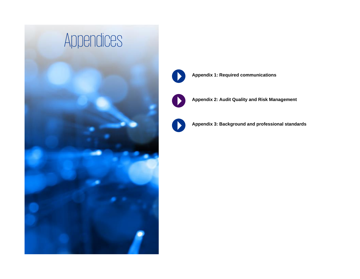<span id="page-19-0"></span>

**[Appendix 1: Required communications](#page-20-0)**



**[Appendix 2: Audit Quality and Risk Management](#page-21-0)**

**[Appendix 3:](#page-20-0) Background and professional standards**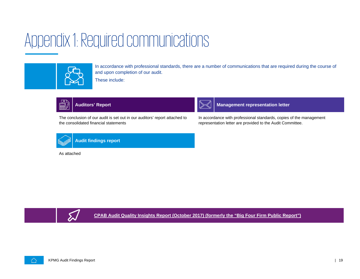### <span id="page-20-0"></span>Appendix 1: Required communications



In accordance with professional standards, there are a number of communications that are required during the course of and upon completion of our audit.

These include:



The conclusion of our audit is set out in our auditors' report attached to the consolidated financial statements



**Auditors' Report Management representation letter** 

In accordance with professional standards, copies of the management representation letter are provided to the Audit Committee.



**Audit findings report**

As attached



**[CPAB Audit Quality Insights Report \(October 2017\) \(formerly the "Big Four Firm Public Report"\)](http://www.cpab-ccrc.ca/Documents/News%20and%20Publications/2018%20Fall%20Inpections%20Report%20EN.pdf)**

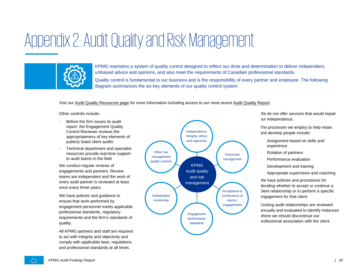### <span id="page-21-0"></span>Appendix 2: Audit Quality and Risk Management



KPMG maintains a system of quality control designed to reflect our drive and determination to deliver independent, unbiased advice and opinions, and also meet the requirements of Canadian professional standards. Quality control is fundamental to our business and is the responsibility of every partner and employee. The following diagram summarizes the six key elements of our quality control system.

#### Visit our [Audit Quality Resources page](https://home.kpmg.com/ca/en/home/services/audit/audit-quality-resources.html) for more information including access to our most recent [Audit Quality Report.](https://home.kpmg/content/dam/kpmg/ca/pdf/2019/02/kpmg-audit-quality-2018.pdf)

Other controls include:

- − Before the firm issues its audit report, the Engagement Quality Control Reviewer reviews the appropriateness of key elements of publicly listed client audits
- − Technical department and specialist resources provide real-time support to audit teams in the field

We conduct regular reviews of engagements and partners. Review teams are independent and the work of every audit partner is reviewed at least once every three years.

We have policies and guidance to ensure that work performed by engagement personnel meets applicable professional standards, regulatory requirements and the firm's standards of quality.

All KPMG partners and staff are required to act with integrity and objectivity and comply with applicable laws, regulations and professional standards at all times.



We do not offer services that would impair our independence.

The processes we employ to help retain and develop people include:

- − Assignment based on skills and experience
- − Rotation of partners
- − Performance evaluation
- Development and training
- − Appropriate supervision and coaching

We have policies and procedures for deciding whether to accept or continue a client relationship or to perform a specific engagement for that client.

Existing audit relationships are reviewed annually and evaluated to identify instances where we should discontinue our professional association with the client.

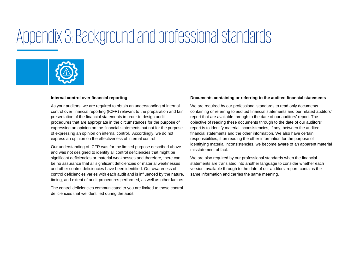### Appendix 3: Background and professional standards



#### **Internal control over financial reporting**

As your auditors, we are required to obtain an understanding of internal control over financial reporting (ICFR) relevant to the preparation and fair presentation of the financial statements in order to design audit procedures that are appropriate in the circumstances for the purpose of expressing an opinion on the financial statements but not for the purpose of expressing an opinion on internal control. Accordingly, we do not express an opinion on the effectiveness of internal control

Our understanding of ICFR was for the limited purpose described above and was not designed to identify all control deficiencies that might be significant deficiencies or material weaknesses and therefore, there can be no assurance that all significant deficiencies or material weaknesses and other control deficiencies have been identified. Our awareness of control deficiencies varies with each audit and is influenced by the nature, timing, and extent of audit procedures performed, as well as other factors.

The control deficiencies communicated to you are limited to those control deficiencies that we identified during the audit.

#### **Documents containing or referring to the audited financial statements**

We are required by our professional standards to read only documents containing or referring to audited financial statements and our related auditors' report that are available through to the date of our auditors' report. The objective of reading these documents through to the date of our auditors' report is to identify material inconsistencies, if any, between the audited financial statements and the other information. We also have certain responsibilities, if on reading the other information for the purpose of identifying material inconsistencies, we become aware of an apparent material misstatement of fact.

We are also required by our professional standards when the financial statements are translated into another language to consider whether each version, available through to the date of our auditors' report, contains the same information and carries the same meaning.